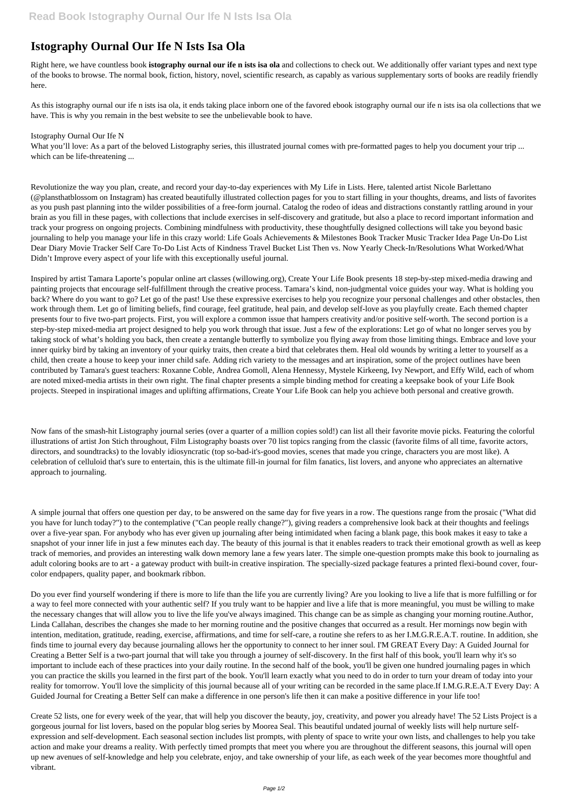## **Istography Ournal Our Ife N Ists Isa Ola**

Right here, we have countless book **istography ournal our ife n ists isa ola** and collections to check out. We additionally offer variant types and next type of the books to browse. The normal book, fiction, history, novel, scientific research, as capably as various supplementary sorts of books are readily friendly here.

What you'll love: As a part of the beloved Listography series, this illustrated journal comes with pre-formatted pages to help you document your trip ... which can be life-threatening ...

As this istography ournal our ife n ists isa ola, it ends taking place inborn one of the favored ebook istography ournal our ife n ists isa ola collections that we have. This is why you remain in the best website to see the unbelievable book to have.

## Istography Ournal Our Ife N

Revolutionize the way you plan, create, and record your day-to-day experiences with My Life in Lists. Here, talented artist Nicole Barlettano (@plansthatblossom on Instagram) has created beautifully illustrated collection pages for you to start filling in your thoughts, dreams, and lists of favorites as you push past planning into the wilder possibilities of a free-form journal. Catalog the rodeo of ideas and distractions constantly rattling around in your brain as you fill in these pages, with collections that include exercises in self-discovery and gratitude, but also a place to record important information and track your progress on ongoing projects. Combining mindfulness with productivity, these thoughtfully designed collections will take you beyond basic journaling to help you manage your life in this crazy world: Life Goals Achievements & Milestones Book Tracker Music Tracker Idea Page Un-Do List Dear Diary Movie Tracker Self Care To-Do List Acts of Kindness Travel Bucket List Then vs. Now Yearly Check-In/Resolutions What Worked/What Didn't Improve every aspect of your life with this exceptionally useful journal.

Inspired by artist Tamara Laporte's popular online art classes (willowing.org), Create Your Life Book presents 18 step-by-step mixed-media drawing and painting projects that encourage self-fulfillment through the creative process. Tamara's kind, non-judgmental voice guides your way. What is holding you back? Where do you want to go? Let go of the past! Use these expressive exercises to help you recognize your personal challenges and other obstacles, then work through them. Let go of limiting beliefs, find courage, feel gratitude, heal pain, and develop self-love as you playfully create. Each themed chapter presents four to five two-part projects. First, you will explore a common issue that hampers creativity and/or positive self-worth. The second portion is a step-by-step mixed-media art project designed to help you work through that issue. Just a few of the explorations: Let go of what no longer serves you by taking stock of what's holding you back, then create a zentangle butterfly to symbolize you flying away from those limiting things. Embrace and love your inner quirky bird by taking an inventory of your quirky traits, then create a bird that celebrates them. Heal old wounds by writing a letter to yourself as a child, then create a house to keep your inner child safe. Adding rich variety to the messages and art inspiration, some of the project outlines have been contributed by Tamara's guest teachers: Roxanne Coble, Andrea Gomoll, Alena Hennessy, Mystele Kirkeeng, Ivy Newport, and Effy Wild, each of whom are noted mixed-media artists in their own right. The final chapter presents a simple binding method for creating a keepsake book of your Life Book projects. Steeped in inspirational images and uplifting affirmations, Create Your Life Book can help you achieve both personal and creative growth.

Now fans of the smash-hit Listography journal series (over a quarter of a million copies sold!) can list all their favorite movie picks. Featuring the colorful illustrations of artist Jon Stich throughout, Film Listography boasts over 70 list topics ranging from the classic (favorite films of all time, favorite actors, directors, and soundtracks) to the lovably idiosyncratic (top so-bad-it's-good movies, scenes that made you cringe, characters you are most like). A celebration of celluloid that's sure to entertain, this is the ultimate fill-in journal for film fanatics, list lovers, and anyone who appreciates an alternative approach to journaling.

A simple journal that offers one question per day, to be answered on the same day for five years in a row. The questions range from the prosaic ("What did you have for lunch today?") to the contemplative ("Can people really change?"), giving readers a comprehensive look back at their thoughts and feelings over a five-year span. For anybody who has ever given up journaling after being intimidated when facing a blank page, this book makes it easy to take a snapshot of your inner life in just a few minutes each day. The beauty of this journal is that it enables readers to track their emotional growth as well as keep track of memories, and provides an interesting walk down memory lane a few years later. The simple one-question prompts make this book to journaling as adult coloring books are to art - a gateway product with built-in creative inspiration. The specially-sized package features a printed flexi-bound cover, fourcolor endpapers, quality paper, and bookmark ribbon.

Do you ever find yourself wondering if there is more to life than the life you are currently living? Are you looking to live a life that is more fulfilling or for a way to feel more connected with your authentic self? If you truly want to be happier and live a life that is more meaningful, you must be willing to make

the necessary changes that will allow you to live the life you've always imagined. This change can be as simple as changing your morning routine.Author, Linda Callahan, describes the changes she made to her morning routine and the positive changes that occurred as a result. Her mornings now begin with intention, meditation, gratitude, reading, exercise, affirmations, and time for self-care, a routine she refers to as her I.M.G.R.E.A.T. routine. In addition, she finds time to journal every day because journaling allows her the opportunity to connect to her inner soul. I'M GREAT Every Day: A Guided Journal for Creating a Better Self is a two-part journal that will take you through a journey of self-discovery. In the first half of this book, you'll learn why it's so important to include each of these practices into your daily routine. In the second half of the book, you'll be given one hundred journaling pages in which you can practice the skills you learned in the first part of the book. You'll learn exactly what you need to do in order to turn your dream of today into your reality for tomorrow. You'll love the simplicity of this journal because all of your writing can be recorded in the same place.If I.M.G.R.E.A.T Every Day: A Guided Journal for Creating a Better Self can make a difference in one person's life then it can make a positive difference in your life too!

Create 52 lists, one for every week of the year, that will help you discover the beauty, joy, creativity, and power you already have! The 52 Lists Project is a gorgeous journal for list lovers, based on the popular blog series by Moorea Seal. This beautiful undated journal of weekly lists will help nurture selfexpression and self-development. Each seasonal section includes list prompts, with plenty of space to write your own lists, and challenges to help you take action and make your dreams a reality. With perfectly timed prompts that meet you where you are throughout the different seasons, this journal will open up new avenues of self-knowledge and help you celebrate, enjoy, and take ownership of your life, as each week of the year becomes more thoughtful and vibrant.